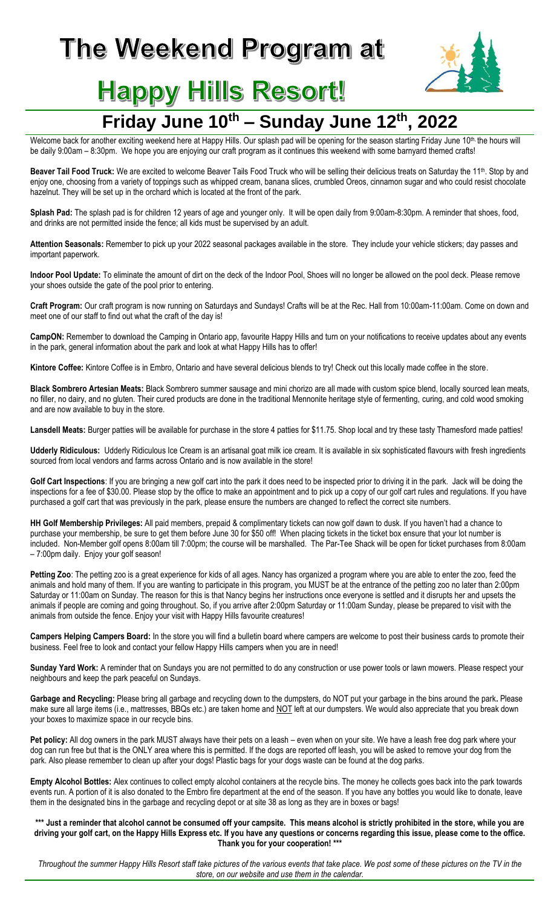# The Weekend Program at



# **Happy Hills Resort!**

## **Friday June 10th – Sunday June 12th, 2022**

Welcome back for another exciting weekend here at Happy Hills. Our splash pad will be opening for the season starting Friday June 10<sup>th,</sup> the hours will be daily 9:00am – 8:30pm. We hope you are enjoying our craft program as it continues this weekend with some barnyard themed crafts!

Beaver Tail Food Truck: We are excited to welcome Beaver Tails Food Truck who will be selling their delicious treats on Saturday the 11<sup>th</sup>. Stop by and enjoy one, choosing from a variety of toppings such as whipped cream, banana slices, crumbled Oreos, cinnamon sugar and who could resist chocolate hazelnut. They will be set up in the orchard which is located at the front of the park.

**Splash Pad:** The splash pad is for children 12 years of age and younger only. It will be open daily from 9:00am-8:30pm. A reminder that shoes, food, and drinks are not permitted inside the fence; all kids must be supervised by an adult.

**Attention Seasonals:** Remember to pick up your 2022 seasonal packages available in the store. They include your vehicle stickers; day passes and important paperwork.

**Indoor Pool Update:** To eliminate the amount of dirt on the deck of the Indoor Pool, Shoes will no longer be allowed on the pool deck. Please remove your shoes outside the gate of the pool prior to entering.

**Craft Program:** Our craft program is now running on Saturdays and Sundays! Crafts will be at the Rec. Hall from 10:00am-11:00am. Come on down and meet one of our staff to find out what the craft of the day is!

**CampON:** Remember to download the Camping in Ontario app, favourite Happy Hills and turn on your notifications to receive updates about any events in the park, general information about the park and look at what Happy Hills has to offer!

**Kintore Coffee:** Kintore Coffee is in Embro, Ontario and have several delicious blends to try! Check out this locally made coffee in the store.

**Black Sombrero Artesian Meats:** Black Sombrero summer sausage and mini chorizo are all made with custom spice blend, locally sourced lean meats, no filler, no dairy, and no gluten. Their cured products are done in the traditional Mennonite heritage style of fermenting, curing, and cold wood smoking and are now available to buy in the store.

Lansdell Meats: Burger patties will be available for purchase in the store 4 patties for \$11.75. Shop local and try these tasty Thamesford made patties!

**Udderly Ridiculous:** Udderly Ridiculous Ice Cream is an artisanal goat milk ice cream. It is available in six sophisticated flavours with fresh ingredients sourced from local vendors and farms across Ontario and is now available in the store!

Golf Cart Inspections: If you are bringing a new golf cart into the park it does need to be inspected prior to driving it in the park. Jack will be doing the inspections for a fee of \$30.00. Please stop by the office to make an appointment and to pick up a copy of our golf cart rules and regulations. If you have purchased a golf cart that was previously in the park, please ensure the numbers are changed to reflect the correct site numbers.

**HH Golf Membership Privileges:** All paid members, prepaid & complimentary tickets can now golf dawn to dusk. If you haven't had a chance to purchase your membership, be sure to get them before June 30 for \$50 off! When placing tickets in the ticket box ensure that your lot number is included. Non-Member golf opens 8:00am till 7:00pm; the course will be marshalled. The Par-Tee Shack will be open for ticket purchases from 8:00am – 7:00pm daily. Enjoy your golf season!

Petting Zoo: The petting zoo is a great experience for kids of all ages. Nancy has organized a program where you are able to enter the zoo, feed the animals and hold many of them. If you are wanting to participate in this program, you MUST be at the entrance of the petting zoo no later than 2:00pm Saturday or 11:00am on Sunday. The reason for this is that Nancy begins her instructions once everyone is settled and it disrupts her and upsets the animals if people are coming and going throughout. So, if you arrive after 2:00pm Saturday or 11:00am Sunday, please be prepared to visit with the animals from outside the fence. Enjoy your visit with Happy Hills favourite creatures!

**Campers Helping Campers Board:** In the store you will find a bulletin board where campers are welcome to post their business cards to promote their business. Feel free to look and contact your fellow Happy Hills campers when you are in need!

**Sunday Yard Work:** A reminder that on Sundays you are not permitted to do any construction or use power tools or lawn mowers. Please respect your neighbours and keep the park peaceful on Sundays.

**Garbage and Recycling:** Please bring all garbage and recycling down to the dumpsters, do NOT put your garbage in the bins around the park**.** Please make sure all large items (i.e., mattresses, BBQs etc.) are taken home and NOT left at our dumpsters. We would also appreciate that you break down your boxes to maximize space in our recycle bins.

Pet policy: All dog owners in the park MUST always have their pets on a leash – even when on your site. We have a leash free dog park where your dog can run free but that is the ONLY area where this is permitted. If the dogs are reported off leash, you will be asked to remove your dog from the park. Also please remember to clean up after your dogs! Plastic bags for your dogs waste can be found at the dog parks.

**Empty Alcohol Bottles:** Alex continues to collect empty alcohol containers at the recycle bins. The money he collects goes back into the park towards events run. A portion of it is also donated to the Embro fire department at the end of the season. If you have any bottles you would like to donate, leave them in the designated bins in the garbage and recycling depot or at site 38 as long as they are in boxes or bags!

#### **\*\*\* Just a reminder that alcohol cannot be consumed off your campsite. This means alcohol is strictly prohibited in the store, while you are driving your golf cart, on the Happy Hills Express etc. If you have any questions or concerns regarding this issue, please come to the office. Thank you for your cooperation! \*\*\***

Throughout the summer Happy Hills Resort staff take pictures of the various events that take place. We post some of these pictures on the TV in the *store, on our website and use them in the calendar.*